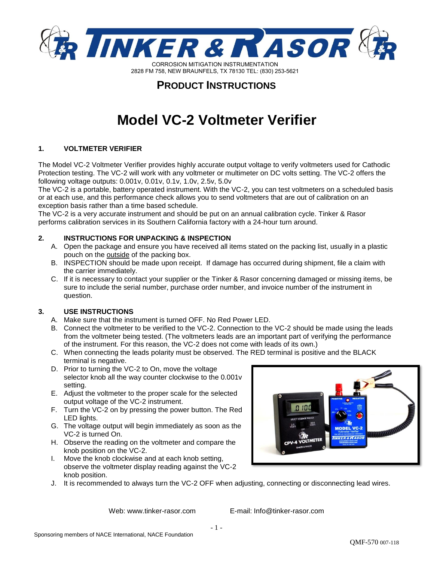

### **PRODUCT INSTRUCTIONS**

# **Model VC-2 Voltmeter Verifier**

### **1. VOLTMETER VERIFIER**

The Model VC-2 Voltmeter Verifier provides highly accurate output voltage to verify voltmeters used for Cathodic Protection testing. The VC-2 will work with any voltmeter or multimeter on DC volts setting. The VC-2 offers the following voltage outputs: 0.001v, 0.01v, 0.1v, 1.0v, 2.5v, 5.0v

The VC-2 is a portable, battery operated instrument. With the VC-2, you can test voltmeters on a scheduled basis or at each use, and this performance check allows you to send voltmeters that are out of calibration on an exception basis rather than a time based schedule.

The VC-2 is a very accurate instrument and should be put on an annual calibration cycle. Tinker & Rasor performs calibration services in its Southern California factory with a 24-hour turn around.

### **2. INSTRUCTIONS FOR UNPACKING & INSPECTION**

- A. Open the package and ensure you have received all items stated on the packing list, usually in a plastic pouch on the outside of the packing box.
- B. INSPECTION should be made upon receipt. If damage has occurred during shipment, file a claim with the carrier immediately.
- C. If it is necessary to contact your supplier or the Tinker & Rasor concerning damaged or missing items, be sure to include the serial number, purchase order number, and invoice number of the instrument in question.

### **3. USE INSTRUCTIONS**

- A. Make sure that the instrument is turned OFF. No Red Power LED.
- B. Connect the voltmeter to be verified to the VC-2. Connection to the VC-2 should be made using the leads from the voltmeter being tested. (The voltmeters leads are an important part of verifying the performance of the instrument. For this reason, the VC-2 does not come with leads of its own.)
- C. When connecting the leads polarity must be observed. The RED terminal is positive and the BLACK terminal is negative.
- D. Prior to turning the VC-2 to On, move the voltage selector knob all the way counter clockwise to the 0.001v setting.
- E. Adjust the voltmeter to the proper scale for the selected output voltage of the VC-2 instrument.
- F. Turn the VC-2 on by pressing the power button. The Red LED lights.
- G. The voltage output will begin immediately as soon as the VC-2 is turned On.
- H. Observe the reading on the voltmeter and compare the knob position on the VC-2.
- I. Move the knob clockwise and at each knob setting, observe the voltmeter display reading against the VC-2 knob position.
- J. It is recommended to always turn the VC-2 OFF when adjusting, connecting or disconnecting lead wires.

Web: www.tinker-rasor.com E-mail: Info@tinker-rasor.com